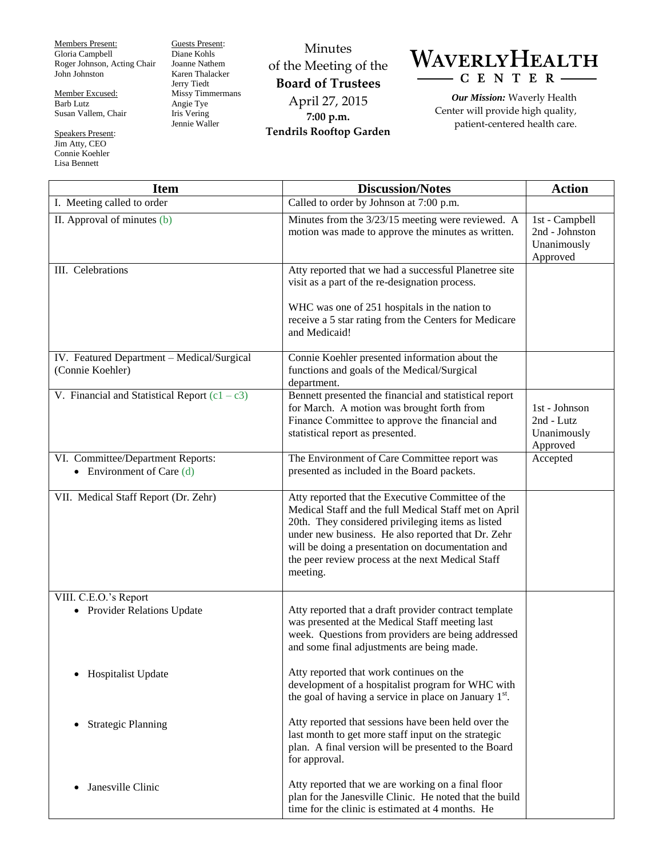Members Present: Gloria Campbell Roger Johnson, Acting Chair John Johnston

Member Excused: Barb Lutz Susan Vallem, Chair

Speakers Present: Jim Atty, CEO Connie Koehler Lisa Bennett

Guests Present: Diane Kohls Joanne Nathem Karen Thalacker Jerry Tiedt Missy Timmermans Angie Tye Iris Vering Jennie Waller

Minutes of the Meeting of the **Board of Trustees** April 27, 2015 **7:00 p.m. Tendrils Rooftop Garden**



*Our Mission:* Waverly Health Center will provide high quality, patient-centered health care.

| <b>Item</b>                                                      | <b>Discussion/Notes</b>                                                                                                                                                                                                                                                                                                                     | <b>Action</b>                                               |
|------------------------------------------------------------------|---------------------------------------------------------------------------------------------------------------------------------------------------------------------------------------------------------------------------------------------------------------------------------------------------------------------------------------------|-------------------------------------------------------------|
| I. Meeting called to order                                       | Called to order by Johnson at 7:00 p.m.                                                                                                                                                                                                                                                                                                     |                                                             |
| II. Approval of minutes (b)                                      | Minutes from the 3/23/15 meeting were reviewed. A<br>motion was made to approve the minutes as written.                                                                                                                                                                                                                                     | 1st - Campbell<br>2nd - Johnston<br>Unanimously<br>Approved |
| III. Celebrations                                                | Atty reported that we had a successful Planetree site<br>visit as a part of the re-designation process.<br>WHC was one of 251 hospitals in the nation to<br>receive a 5 star rating from the Centers for Medicare<br>and Medicaid!                                                                                                          |                                                             |
| IV. Featured Department - Medical/Surgical<br>(Connie Koehler)   | Connie Koehler presented information about the<br>functions and goals of the Medical/Surgical<br>department.                                                                                                                                                                                                                                |                                                             |
| V. Financial and Statistical Report $(c1 - c3)$                  | Bennett presented the financial and statistical report<br>for March. A motion was brought forth from<br>Finance Committee to approve the financial and<br>statistical report as presented.                                                                                                                                                  | 1st - Johnson<br>2nd - Lutz<br>Unanimously<br>Approved      |
| VI. Committee/Department Reports:<br>• Environment of Care $(d)$ | The Environment of Care Committee report was<br>presented as included in the Board packets.                                                                                                                                                                                                                                                 | Accepted                                                    |
| VII. Medical Staff Report (Dr. Zehr)                             | Atty reported that the Executive Committee of the<br>Medical Staff and the full Medical Staff met on April<br>20th. They considered privileging items as listed<br>under new business. He also reported that Dr. Zehr<br>will be doing a presentation on documentation and<br>the peer review process at the next Medical Staff<br>meeting. |                                                             |
| VIII. C.E.O.'s Report<br>• Provider Relations Update             | Atty reported that a draft provider contract template<br>was presented at the Medical Staff meeting last<br>week. Questions from providers are being addressed<br>and some final adjustments are being made.                                                                                                                                |                                                             |
| Hospitalist Update<br>$\bullet$                                  | Atty reported that work continues on the<br>development of a hospitalist program for WHC with<br>the goal of having a service in place on January $1st$ .                                                                                                                                                                                   |                                                             |
| <b>Strategic Planning</b>                                        | Atty reported that sessions have been held over the<br>last month to get more staff input on the strategic<br>plan. A final version will be presented to the Board<br>for approval.                                                                                                                                                         |                                                             |
| Janesville Clinic                                                | Atty reported that we are working on a final floor<br>plan for the Janesville Clinic. He noted that the build<br>time for the clinic is estimated at 4 months. He                                                                                                                                                                           |                                                             |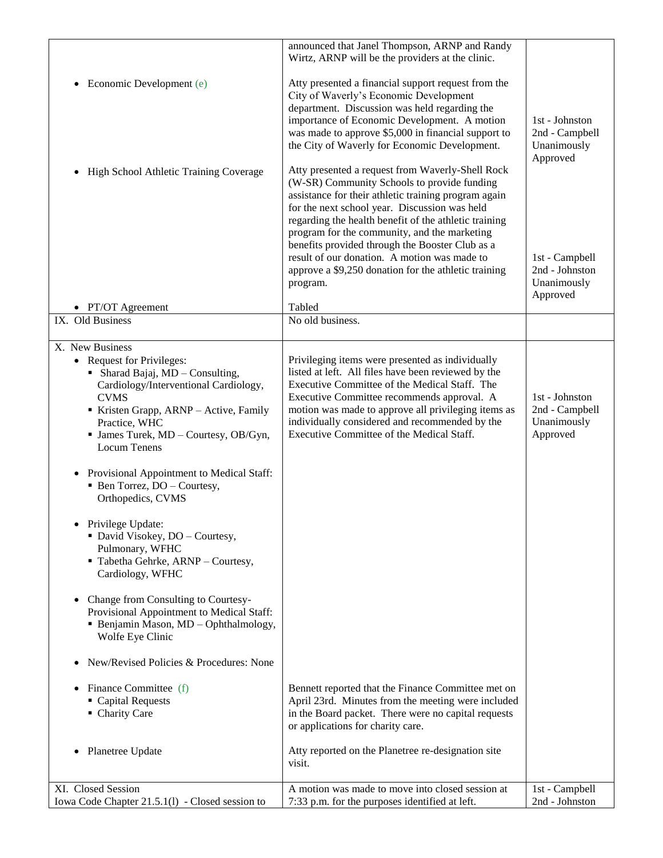|                                                                                                                                                                                                                                                                                                                                                                                                                                                                                                                                                                | announced that Janel Thompson, ARNP and Randy<br>Wirtz, ARNP will be the providers at the clinic.                                                                                                                                                                                                                                                                                                                                                                                        |                                                             |
|----------------------------------------------------------------------------------------------------------------------------------------------------------------------------------------------------------------------------------------------------------------------------------------------------------------------------------------------------------------------------------------------------------------------------------------------------------------------------------------------------------------------------------------------------------------|------------------------------------------------------------------------------------------------------------------------------------------------------------------------------------------------------------------------------------------------------------------------------------------------------------------------------------------------------------------------------------------------------------------------------------------------------------------------------------------|-------------------------------------------------------------|
| Economic Development (e)<br>٠                                                                                                                                                                                                                                                                                                                                                                                                                                                                                                                                  | Atty presented a financial support request from the<br>City of Waverly's Economic Development<br>department. Discussion was held regarding the<br>importance of Economic Development. A motion<br>was made to approve \$5,000 in financial support to<br>the City of Waverly for Economic Development.                                                                                                                                                                                   | 1st - Johnston<br>2nd - Campbell<br>Unanimously<br>Approved |
| High School Athletic Training Coverage<br>٠                                                                                                                                                                                                                                                                                                                                                                                                                                                                                                                    | Atty presented a request from Waverly-Shell Rock<br>(W-SR) Community Schools to provide funding<br>assistance for their athletic training program again<br>for the next school year. Discussion was held<br>regarding the health benefit of the athletic training<br>program for the community, and the marketing<br>benefits provided through the Booster Club as a<br>result of our donation. A motion was made to<br>approve a \$9,250 donation for the athletic training<br>program. | 1st - Campbell<br>2nd - Johnston<br>Unanimously             |
|                                                                                                                                                                                                                                                                                                                                                                                                                                                                                                                                                                |                                                                                                                                                                                                                                                                                                                                                                                                                                                                                          | Approved                                                    |
| • PT/OT Agreement                                                                                                                                                                                                                                                                                                                                                                                                                                                                                                                                              | Tabled                                                                                                                                                                                                                                                                                                                                                                                                                                                                                   |                                                             |
| IX. Old Business                                                                                                                                                                                                                                                                                                                                                                                                                                                                                                                                               | No old business.                                                                                                                                                                                                                                                                                                                                                                                                                                                                         |                                                             |
| X. New Business                                                                                                                                                                                                                                                                                                                                                                                                                                                                                                                                                |                                                                                                                                                                                                                                                                                                                                                                                                                                                                                          |                                                             |
| <b>Request for Privileges:</b><br>$\bullet$<br>• Sharad Bajaj, MD - Consulting,<br>Cardiology/Interventional Cardiology,<br><b>CVMS</b><br>Kristen Grapp, ARNP - Active, Family<br>Practice, WHC<br>• James Turek, MD - Courtesy, OB/Gyn,<br><b>Locum Tenens</b><br>Provisional Appointment to Medical Staff:<br>$\bullet$<br>• Ben Torrez, DO - Courtesy,<br>Orthopedics, CVMS<br>Privilege Update:<br>• David Visokey, DO - Courtesy,<br>Pulmonary, WFHC<br>Tabetha Gehrke, ARNP - Courtesy,<br>Cardiology, WFHC<br>Change from Consulting to Courtesy-<br>٠ | Privileging items were presented as individually<br>listed at left. All files have been reviewed by the<br>Executive Committee of the Medical Staff. The<br>Executive Committee recommends approval. A<br>motion was made to approve all privileging items as<br>individually considered and recommended by the<br>Executive Committee of the Medical Staff.                                                                                                                             | 1st - Johnston<br>2nd - Campbell<br>Unanimously<br>Approved |
| Provisional Appointment to Medical Staff:<br>• Benjamin Mason, MD - Ophthalmology,<br>Wolfe Eye Clinic<br>New/Revised Policies & Procedures: None<br>٠                                                                                                                                                                                                                                                                                                                                                                                                         |                                                                                                                                                                                                                                                                                                                                                                                                                                                                                          |                                                             |
| Finance Committee (f)<br>$\bullet$<br>• Capital Requests<br>• Charity Care                                                                                                                                                                                                                                                                                                                                                                                                                                                                                     | Bennett reported that the Finance Committee met on<br>April 23rd. Minutes from the meeting were included<br>in the Board packet. There were no capital requests<br>or applications for charity care.                                                                                                                                                                                                                                                                                     |                                                             |
| Planetree Update<br>٠                                                                                                                                                                                                                                                                                                                                                                                                                                                                                                                                          | Atty reported on the Planetree re-designation site<br>visit.                                                                                                                                                                                                                                                                                                                                                                                                                             |                                                             |
| XI. Closed Session<br>Iowa Code Chapter 21.5.1(1) - Closed session to                                                                                                                                                                                                                                                                                                                                                                                                                                                                                          | A motion was made to move into closed session at<br>7:33 p.m. for the purposes identified at left.                                                                                                                                                                                                                                                                                                                                                                                       | 1st - Campbell<br>2nd - Johnston                            |